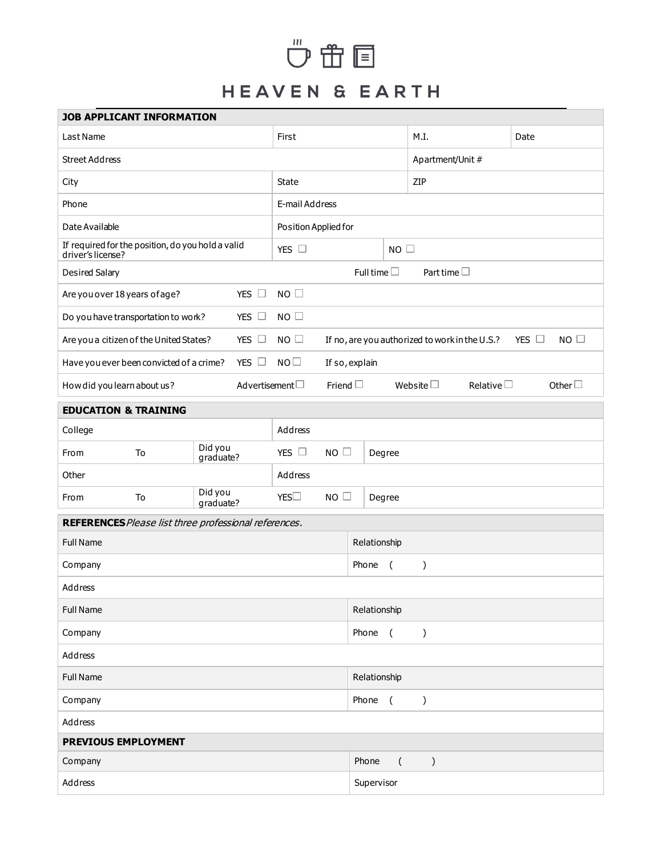## $\overset{^{\text{\tiny{m}}}}{\mathbf{\mathbb{C}}}\mathbf{\mathbb{C}}\boxtimes\mathbf{C}$

## HEAVEN & EARTH

| <b>JOB APPLICANT INFORMATION</b>                                       |                            |  |                      |                                      |                                                                             |                                |                                      |                |                 |  |              |  |
|------------------------------------------------------------------------|----------------------------|--|----------------------|--------------------------------------|-----------------------------------------------------------------------------|--------------------------------|--------------------------------------|----------------|-----------------|--|--------------|--|
| Last Name                                                              |                            |  |                      | First                                |                                                                             |                                | M.I.                                 |                | Date            |  |              |  |
| <b>Street Address</b>                                                  |                            |  |                      |                                      | Apartment/Unit #                                                            |                                |                                      |                |                 |  |              |  |
| City                                                                   |                            |  |                      | <b>State</b>                         |                                                                             |                                | ZIP                                  |                |                 |  |              |  |
| Phone                                                                  |                            |  |                      | E-mail Address                       |                                                                             |                                |                                      |                |                 |  |              |  |
| Date Available                                                         |                            |  |                      | Position Applied for                 |                                                                             |                                |                                      |                |                 |  |              |  |
| If required for the position, do you hold a valid<br>driver's license? |                            |  |                      | YES $\Box$<br>$NO$ $\Box$            |                                                                             |                                |                                      |                |                 |  |              |  |
| Desired Salary                                                         |                            |  |                      | Full time $\Box$<br>Part time $\Box$ |                                                                             |                                |                                      |                |                 |  |              |  |
| YES $\square$<br>Are you over 18 years of age?                         |                            |  | NO                   |                                      |                                                                             |                                |                                      |                |                 |  |              |  |
| YES $\Box$<br>Do you have transportation to work?                      |                            |  | $NO$ $\Box$          |                                      |                                                                             |                                |                                      |                |                 |  |              |  |
| Are you a citizen of the United States?                                |                            |  | YES $\Box$           | $NO$ $\square$                       | $NO$ $\Box$<br>If no, are you authorized to work in the U.S.?<br>YES $\Box$ |                                |                                      |                |                 |  |              |  |
| YES $\Box$<br>Have you ever been convicted of a crime?                 |                            |  | NO <sub>1</sub>      | If so, explain                       |                                                                             |                                |                                      |                |                 |  |              |  |
| How did you learn about us?                                            |                            |  | Advertisement $\Box$ |                                      | Friend $\Box$                                                               |                                |                                      | Website $\Box$ | Relative $\Box$ |  | Other $\Box$ |  |
| <b>EDUCATION &amp; TRAINING</b>                                        |                            |  |                      |                                      |                                                                             |                                |                                      |                |                 |  |              |  |
| College                                                                |                            |  |                      | Address                              |                                                                             |                                |                                      |                |                 |  |              |  |
| Did you<br>To<br>From<br>graduate?                                     |                            |  | YES $\Box$           | $NO$ $\Box$<br>Degree                |                                                                             |                                |                                      |                |                 |  |              |  |
| Other                                                                  |                            |  | Address              |                                      |                                                                             |                                |                                      |                |                 |  |              |  |
| From                                                                   | Did you<br>To<br>graduate? |  | YES                  | NO<br>Degree                         |                                                                             |                                |                                      |                |                 |  |              |  |
| REFERENCES Please list three professional references.                  |                            |  |                      |                                      |                                                                             |                                |                                      |                |                 |  |              |  |
| <b>Full Name</b>                                                       |                            |  |                      |                                      |                                                                             | Relationship                   |                                      |                |                 |  |              |  |
| Company                                                                |                            |  |                      |                                      |                                                                             | Phone<br>$\left($<br>)         |                                      |                |                 |  |              |  |
| Address                                                                |                            |  |                      |                                      |                                                                             |                                |                                      |                |                 |  |              |  |
| <b>Full Name</b>                                                       |                            |  |                      |                                      | Relationship                                                                |                                |                                      |                |                 |  |              |  |
| Company                                                                |                            |  |                      |                                      |                                                                             | Phone<br>$\sqrt{ }$<br>)       |                                      |                |                 |  |              |  |
| Address                                                                |                            |  |                      |                                      |                                                                             |                                |                                      |                |                 |  |              |  |
| <b>Full Name</b>                                                       |                            |  |                      |                                      |                                                                             | Relationship                   |                                      |                |                 |  |              |  |
| Company                                                                |                            |  |                      |                                      |                                                                             | Phone<br>$\overline{(\ }$<br>) |                                      |                |                 |  |              |  |
| Address                                                                |                            |  |                      |                                      |                                                                             |                                |                                      |                |                 |  |              |  |
| PREVIOUS EMPLOYMENT                                                    |                            |  |                      |                                      |                                                                             |                                |                                      |                |                 |  |              |  |
| Company                                                                |                            |  |                      |                                      |                                                                             |                                | Phone<br>$\overline{(\ }$<br>$\big)$ |                |                 |  |              |  |
| Address                                                                |                            |  |                      |                                      |                                                                             |                                | Supervisor                           |                |                 |  |              |  |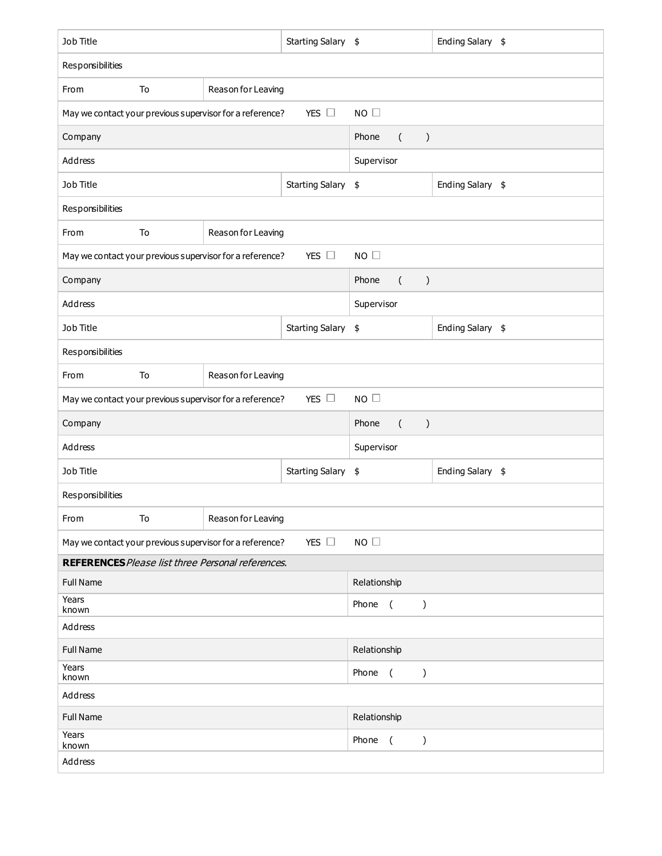| Job Title                                                                                |                          |                                                          | Starting Salary \$                                |                    | Ending Salary \$ |  |  |  |  |
|------------------------------------------------------------------------------------------|--------------------------|----------------------------------------------------------|---------------------------------------------------|--------------------|------------------|--|--|--|--|
| Responsibilities                                                                         |                          |                                                          |                                                   |                    |                  |  |  |  |  |
| Reason for Leaving<br>To<br>From                                                         |                          |                                                          |                                                   |                    |                  |  |  |  |  |
| YES $\Box$<br>$NO$ $\square$<br>May we contact your previous supervisor for a reference? |                          |                                                          |                                                   |                    |                  |  |  |  |  |
| Company                                                                                  |                          |                                                          | Phone<br>$\left($<br>$\big)$                      |                    |                  |  |  |  |  |
| Address                                                                                  |                          |                                                          | Supervisor                                        |                    |                  |  |  |  |  |
| Job Title                                                                                |                          |                                                          | Starting Salary \$                                | Ending Salary \$   |                  |  |  |  |  |
| Responsibilities                                                                         |                          |                                                          |                                                   |                    |                  |  |  |  |  |
| From                                                                                     | To                       | Reason for Leaving                                       |                                                   |                    |                  |  |  |  |  |
| YES $\Box$<br>NO<br>May we contact your previous supervisor for a reference?             |                          |                                                          |                                                   |                    |                  |  |  |  |  |
| Company                                                                                  |                          |                                                          | Phone<br>$\left($<br>$\big)$                      |                    |                  |  |  |  |  |
| Address                                                                                  |                          |                                                          | Supervisor                                        |                    |                  |  |  |  |  |
| Job Title                                                                                |                          |                                                          |                                                   | Starting Salary \$ | Ending Salary \$ |  |  |  |  |
| Responsibilities                                                                         |                          |                                                          |                                                   |                    |                  |  |  |  |  |
| From                                                                                     | To<br>Reason for Leaving |                                                          |                                                   |                    |                  |  |  |  |  |
| YES $\Box$<br>NO<br>May we contact your previous supervisor for a reference?             |                          |                                                          |                                                   |                    |                  |  |  |  |  |
| Company                                                                                  |                          |                                                          | Phone<br>$\left($<br>$\lambda$                    |                    |                  |  |  |  |  |
| Address                                                                                  |                          |                                                          | Supervisor                                        |                    |                  |  |  |  |  |
| Job Title                                                                                |                          |                                                          | Starting Salary \$                                | Ending Salary \$   |                  |  |  |  |  |
| Responsibilities                                                                         |                          |                                                          |                                                   |                    |                  |  |  |  |  |
| From                                                                                     | To                       | Reason for Leaving                                       |                                                   |                    |                  |  |  |  |  |
|                                                                                          |                          | May we contact your previous supervisor for a reference? | NO                                                |                    |                  |  |  |  |  |
| <b>REFERENCES</b> Please list three Personal references.                                 |                          |                                                          |                                                   |                    |                  |  |  |  |  |
| <b>Full Name</b>                                                                         |                          |                                                          | Relationship                                      |                    |                  |  |  |  |  |
| Years<br>known                                                                           |                          |                                                          | Phone<br>$\sqrt{ }$<br>$\mathcal{E}$              |                    |                  |  |  |  |  |
| Address                                                                                  |                          |                                                          |                                                   |                    |                  |  |  |  |  |
| <b>Full Name</b>                                                                         |                          |                                                          | Relationship                                      |                    |                  |  |  |  |  |
| Years<br>known                                                                           |                          |                                                          | Phone<br>$\sqrt{ }$<br>$\mathcal{C}$              |                    |                  |  |  |  |  |
| Address                                                                                  |                          |                                                          |                                                   |                    |                  |  |  |  |  |
| <b>Full Name</b>                                                                         |                          |                                                          | Relationship                                      |                    |                  |  |  |  |  |
| Years<br>known                                                                           |                          |                                                          | Phone<br>$\overline{ }$<br>$\mathcal{C}^{\prime}$ |                    |                  |  |  |  |  |
| Address                                                                                  |                          |                                                          |                                                   |                    |                  |  |  |  |  |